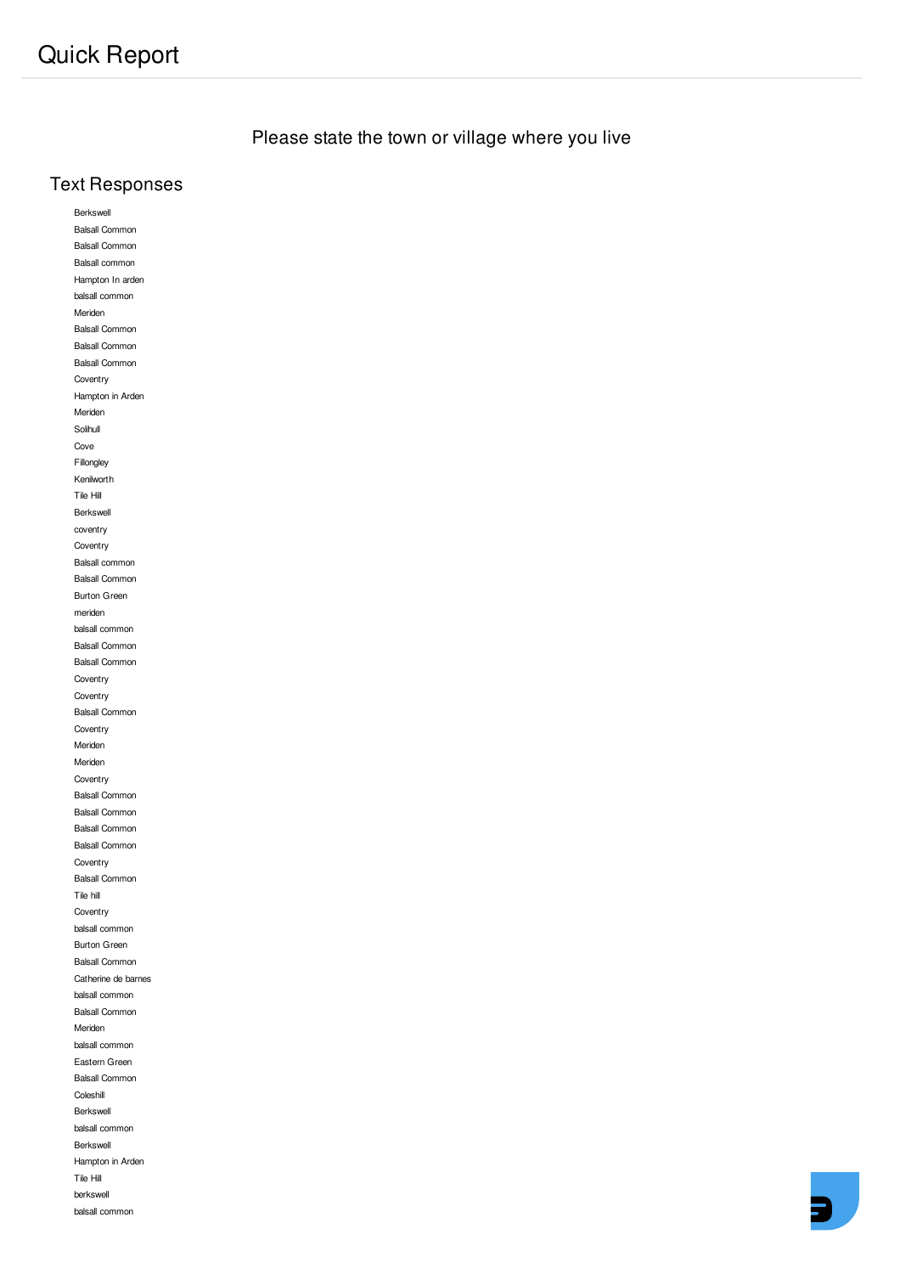Please state the town or village where you live

## **Text Responses**

Berkswell **Balsall Common Balsall Common** Balsall common Hampton In arden balsall common Meriden Balsall Common Balsall Common Balsall Common Coventry Hampton in Arden Meriden Solihull Cove Fillongley Kenilworth Tile Hill Berkswell coventry Coventry Balsall common Balsall Common Burton Green meriden balsall common **Balsall Common Balsall Common** Coventry Coventry **Balsall Common** Coventry Meriden Meriden Coventry Balsall Common Balsall Common **Balsall Common Balsall Common** Coventry Balsall Common Tile hill Coventry balsall common Burton Green **Balsall Common** Catherine de barnes balsall common Balsall Common Meriden balsall common Eastern Green **Balsall Common** Coleshill Berkswell balsall common Berkswell Hampton in Arden Tile Hill berkswell balsall common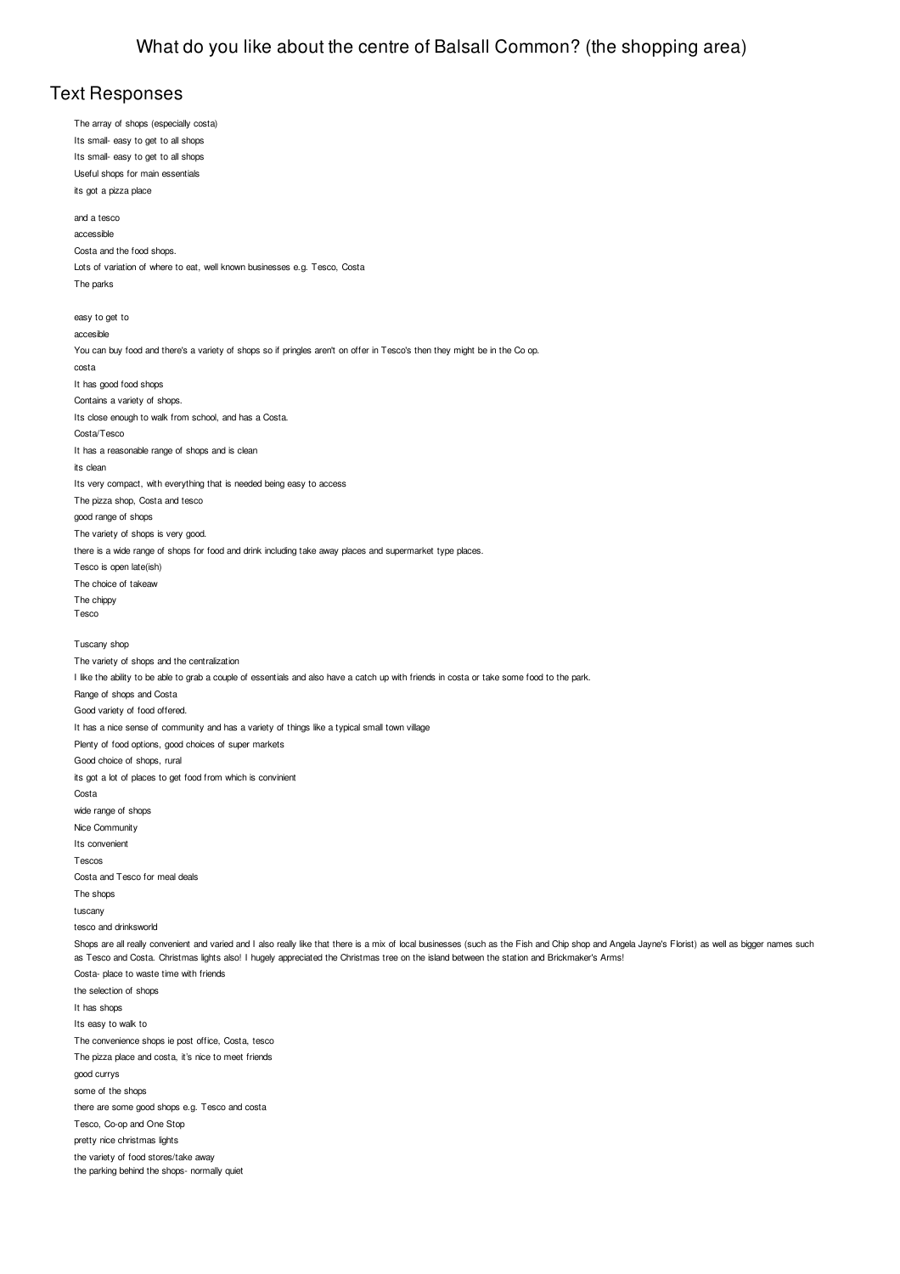### **Text Responses**

The array of shops (especially costa) Its small- easy to get to all shops Its small- easy to get to all shops Useful shops for main essentials its got a pizza place and a tesco accessible Costa and the food shops Lots of variation of where to eat, well known businesses e.g. Tesco, Costa The parks easy to get to accesible You can buy food and there's a variety of shops so if pringles aren't on offer in Tesco's then they might be in the Co op. costa It has good food shops Contains a variety of shops. Its close enough to walk from school, and has a Costa. Costa/Tesco It has a reasonable range of shops and is clean its clean Its very compact, with everything that is needed being easy to access The pizza shop, Costa and tesco good range of shops The variety of shops is very good. there is a wide range of shops for food and drink including take away places and supermarket type places. Tesco is open late(ish) The choice of takeaw The chippy Tesco Tuscany shop The variety of shops and the centralization I like the ability to be able to grab a couple of essentials and also have a catch up with friends in costa or take some food to the park. Range of shops and Costa Good variety of food offered. It has a nice sense of community and has a variety of things like a typical small town village Plenty of food options, good choices of super markets Good choice of shops, rural its got a lot of places to get food from which is convinient Costa wide range of shops Nice Community Its convenient Tescos Costa and Tesco for meal deals The shops tuscany tesco and drinksworld Shops are all really convenient and varied and I also really like that there is a mix of local businesses (such as the Fish and Chip shop and Angela Jayne's Florist) as well as bigger names such as Tesco and Costa. Christmas lights also! I hugely appreciated the Christmas tree on the island between the station and Brickmaker's Arms! Costa- place to waste time with friends the selection of shops It has shops Its easy to walk to The convenience shops ie post office, Costa, tesco The pizza place and costa, it's nice to meet friends good currys some of the shops there are some good shops e.g. Tesco and costa Tesco, Co-op and One Stop pretty nice christmas lights the variety of food stores/take away the parking behind the shops- normally quiet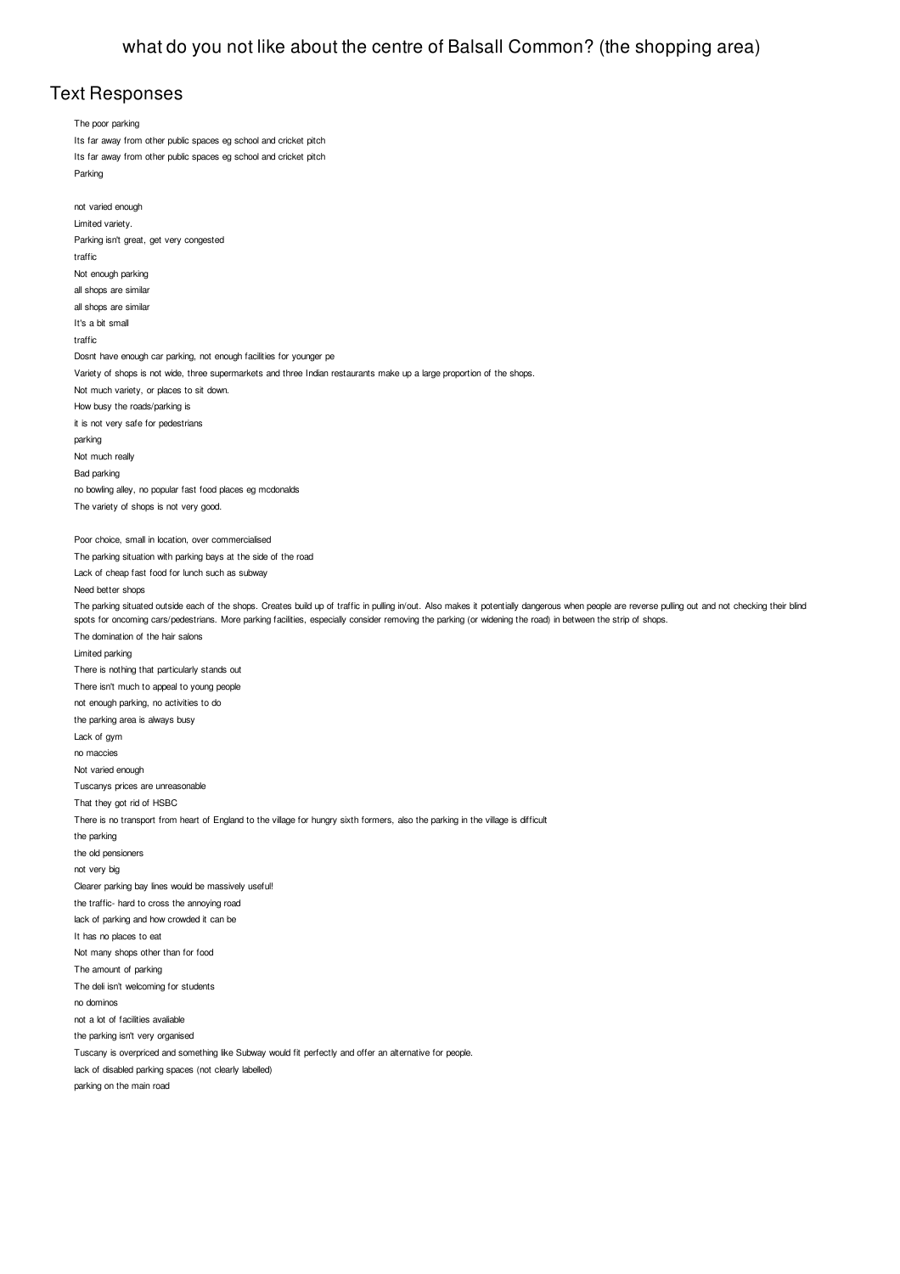### **Text Responses**

The poor parking Its far away from other public spaces eg school and cricket pitch Its far away from other public spaces eg school and cricket pitch Parking not varied enough Limited variety. Parking isn't great, get very congested traffic Not enough parking all shops are similar all shops are similar It's a bit small traffic Dosnt have enough car parking, not enough facilities for younger pe Variety of shops is not wide, three supermarkets and three Indian restaurants make up a large proportion of the shops. Not much variety, or places to sit down. How busy the roads/parking is it is not very safe for pedestrians parking Not much really Bad parking no bowling alley, no popular fast food places eg mcdonalds The variety of shops is not very good. Poor choice, small in location, over commercialised The parking situation with parking bays at the side of the road Lack of cheap fast food for lunch such as subway Need better shops The parking situated outside each of the shops. Creates build up of traffic in pulling in/out. Also makes it potentially dangerous when people are reverse pulling out and not checking their blind spots for oncoming cars/pedestrians. More parking facilities, especially consider removing the parking (or widening the road) in between the strip of shops. The domination of the hair salons Limited parking There is nothing that particularly stands out There isn't much to appeal to young people not enough parking, no activities to do the parking area is always busy Lack of ovm no maccies Not varied enough Tuscanys prices are unreasonable That they got rid of HSBC There is no transport from heart of England to the village for hungry sixth formers, also the parking in the village is difficult the parking the old pensioners not very big Clearer parking bay lines would be massively useful! the traffic- hard to cross the annoying road lack of parking and how crowded it can be It has no places to eat Not many shops other than for food The amount of parking The deli isn't welcoming for students no dominos not a lot of facilities avaliable the parking isn't very organised Tuscany is overpriced and something like Subway would fit perfectly and offer an alternative for people. lack of disabled parking spaces (not clearly labelled) parking on the main road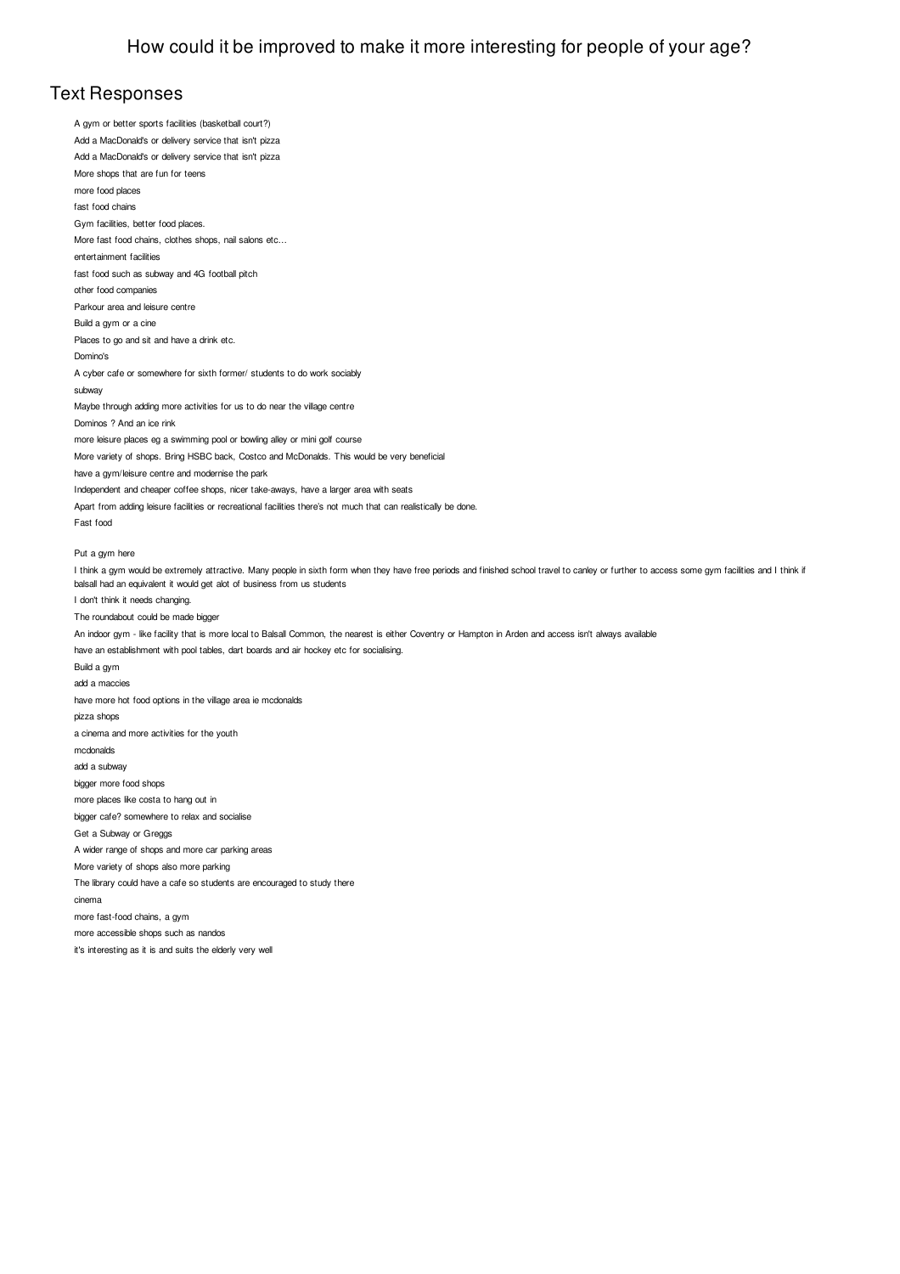#### **Text Responses**

A gym or better sports facilities (basketball court?) Add a MacDonald's or delivery service that isn't pizza Add a MacDonald's or delivery service that isn't pizza More shops that are fun for teens more food places fast food chains Gym facilities, better food places. More fast food chains, clothes shops, nail salons etc... entertainment facilities fast food such as subway and 4G football pitch other food companies Parkour area and leisure centre Build a gym or a cine Places to go and sit and have a drink etc. Domino's A cyber cafe or somewhere for sixth former/ students to do work sociably subway Maybe through adding more activities for us to do near the village centre Dominos ? And an ice rink more leisure places eg a swimming pool or bowling alley or mini golf course More variety of shops. Bring HSBC back, Costco and McDonalds. This would be very beneficial have a gym/leisure centre and modernise the park Independent and cheaper coffee shops, nicer take-aways, have a larger area with seats Apart from adding leisure facilities or recreational facilities there's not much that can realistically be done. Fast food Put a gym here I think a gym would be extremely attractive. Many people in sixth form when they have free periods and finished school travel to canley or further to access some gym facilities and I think if balsall had an equivalent it would get alot of business from us students I don't think it needs changing. The roundabout could be made bigger An indoor gym - like facility that is more local to Balsall Common, the nearest is either Coventry or Hampton in Arden and access isn't always available have an establishment with pool tables, dart boards and air hockey etc for socialising. Build a gym add a maccies have more hot food options in the village area ie mcdonalds pizza shops a cinema and more activities for the youth mcdonalds add a subway bigger more food shops more places like costa to hang out in bigger cafe? somewhere to relax and socialise Get a Subway or Greggs A wider range of shops and more car parking areas More variety of shops also more parking The library could have a cafe so students are encouraged to study there cinema more fast-food chains, a gym more accessible shops such as nandos it's interesting as it is and suits the elderly very well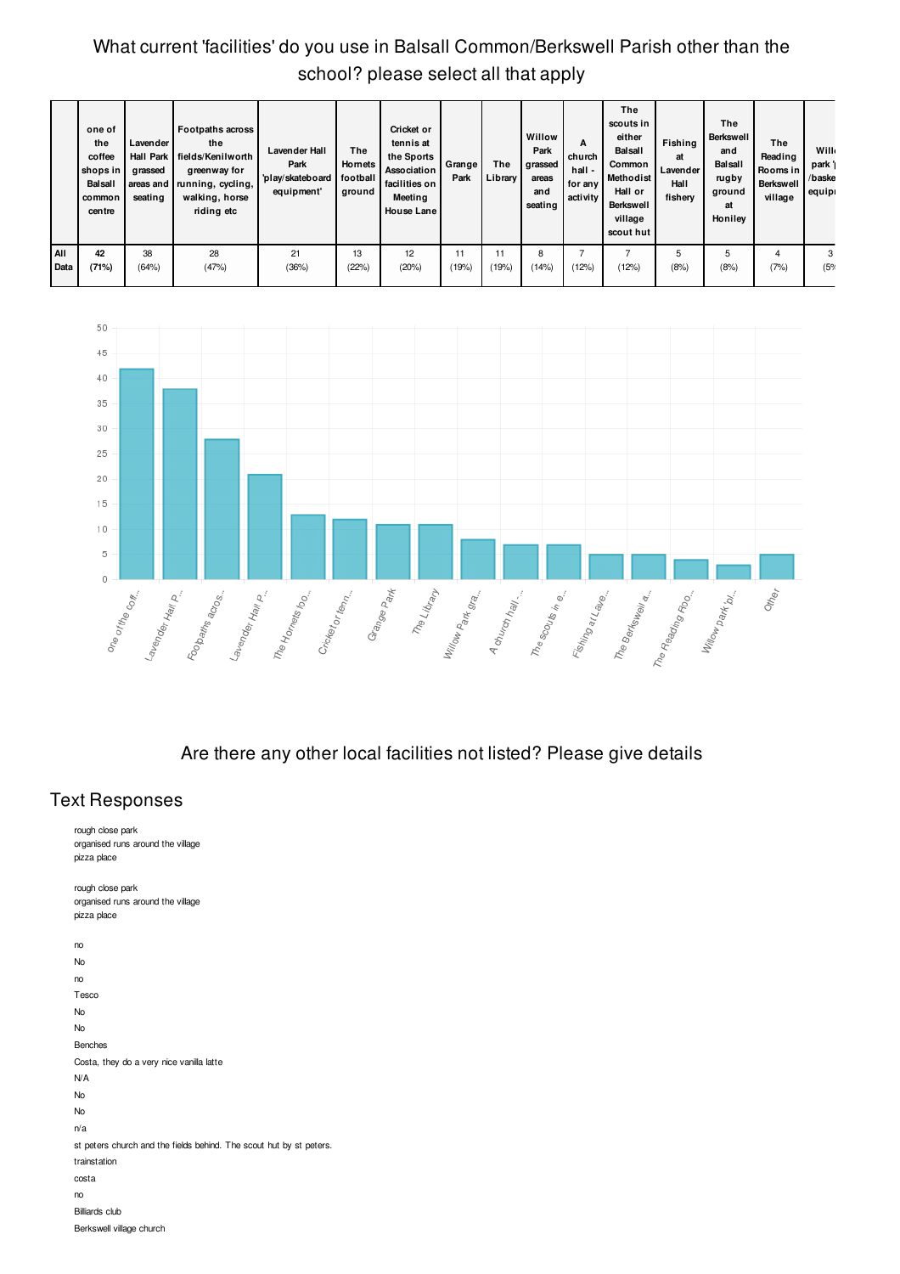# What current 'facilities' do you use in Balsall Common/Berkswell Parish other than the school? please select all that apply

|             | one of<br>the<br>coffee<br>shops in<br><b>Balsall</b><br>common<br>centre | Lavender<br>grassed<br>seating | <b>Footpaths across</b><br>the<br>Hall Park I fields/Kenilworth<br>greenway for<br>areas and running, cycling,<br>walking, horse<br>riding etc | <b>Lavender Hall</b><br>Park<br>'play/skateboard<br>equipment' | The<br>Hornets<br>football<br>ground | Cricket or<br>tennis at<br>the Sports<br>Association<br>facilities on<br>Meeting<br><b>House Lane</b> | Grange <sup>1</sup><br>Park | The<br>Library | Willow<br>Park<br>grassed<br>areas<br>and<br>seating | A<br>church<br>hall -<br>for any<br>activity | The<br>scouts in<br>either<br><b>Balsall</b><br>Common<br><b>Methodist</b><br>Hall or<br><b>Berkswell</b><br>village<br>scout hut | Fishing<br>at<br>Lavender<br>Hall<br>fishery | The<br><b>Berkswell</b><br>and<br><b>Balsall</b><br>rugby<br>ground<br>at<br>Honiley | The<br>Reading<br>Rooms in<br><b>Berkswell</b><br>village | <b>Will</b><br>park'<br>/baske<br>equipi |
|-------------|---------------------------------------------------------------------------|--------------------------------|------------------------------------------------------------------------------------------------------------------------------------------------|----------------------------------------------------------------|--------------------------------------|-------------------------------------------------------------------------------------------------------|-----------------------------|----------------|------------------------------------------------------|----------------------------------------------|-----------------------------------------------------------------------------------------------------------------------------------|----------------------------------------------|--------------------------------------------------------------------------------------|-----------------------------------------------------------|------------------------------------------|
| AII<br>Data | 42<br>(71%)                                                               | 38<br>(64%)                    | 28<br>(47%)                                                                                                                                    | 21<br>(36%)                                                    | 13<br>(22%)                          | 12<br>(20%)                                                                                           | (19%)                       | (19%)          | 8<br>(14%)                                           | (12%)                                        | (12%)                                                                                                                             | 5<br>(8%                                     | 5<br>(8%)                                                                            | 4<br>(7%)                                                 | 3<br>(5%                                 |



Are there any other local facilities not listed? Please give details

## **Text Responses**

rough close park organised runs around the village pizza place rough close park organised runs around the village pizza place no No no Tesco No No Benches Costa, they do a very nice vanilla latte N/A No No n/a st peters church and the fields behind. The scout hut by st peters. trainstation costa no **Billiards** club Berkswell village church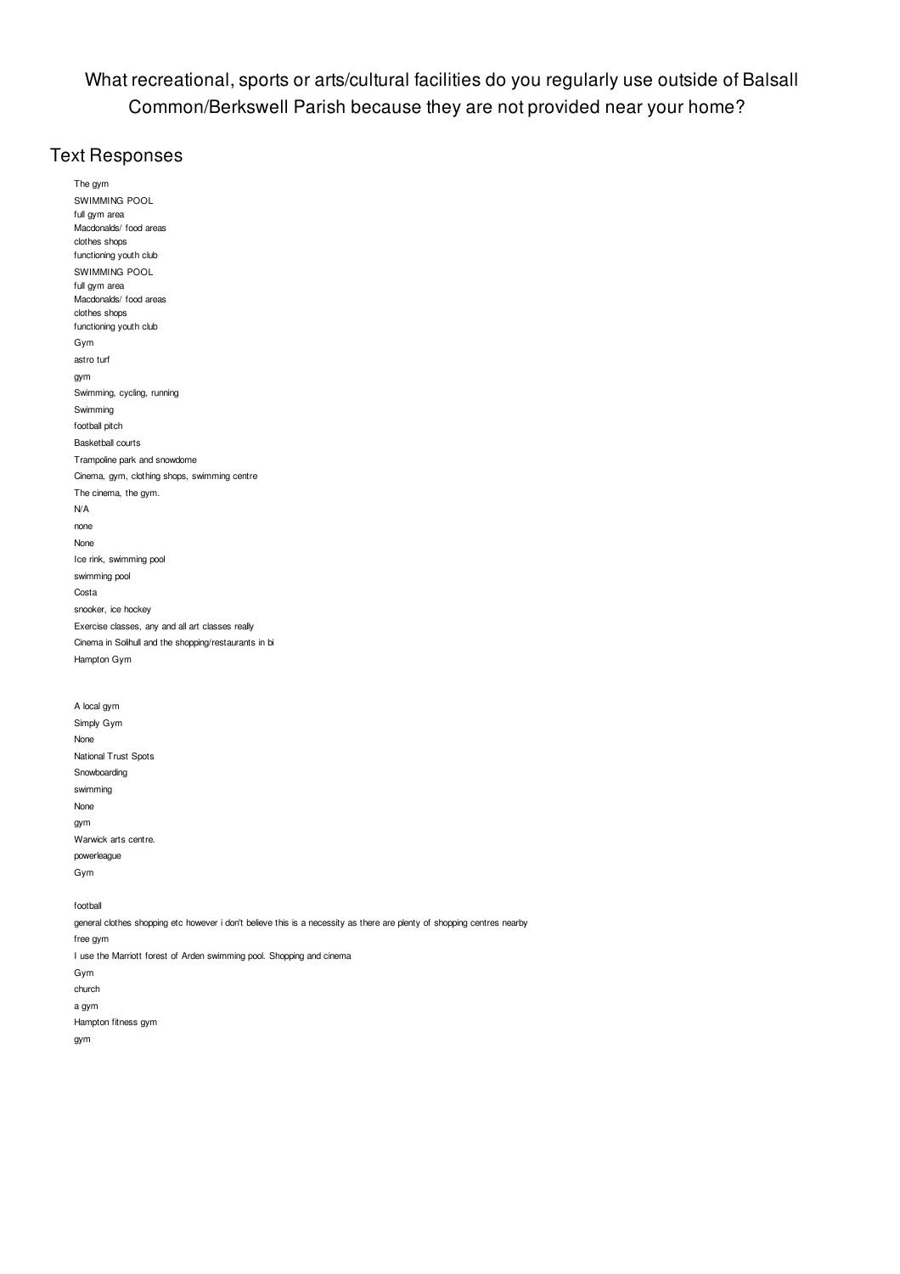What recreational, sports or arts/cultural facilities do you regularly use outside of Balsall Common/Berkswell Parish because they are not provided near your home?

### **Text Responses**

The gym SWIMMING POOL full gym area Macdonalds/ food areas clothes shops functioning youth club SWIMMING POOL full gym area Macdonalds/ food areas clothes shops functioning youth club Gym astro turf gym Swimming, cycling, running Swimming football pitch Basketball courts Trampoline park and snowdome Cinema, gym, clothing shops, swimming centre The cinema, the gym. N/A none None Ice rink, swimming pool swimming pool Costa snooker, ice hockey Exercise classes, any and all art classes really Cinema in Solihull and the shopping/restaurants in bi Hampton Gym A local gym Simply Gym None National Trust Spots Snowboarding swimming None gym Warwick arts centre. powerleague Gym football general clothes shopping etc however i don't believe this is a necessity as there are plenty of shopping centres nearby free gym I use the Marriott forest of Arden swimming pool. Shopping and cinema Gym church

a gym Hampton fitness gym

gym